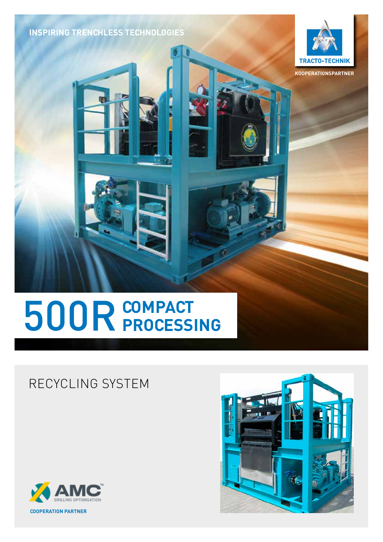**INSPIRING TRENCHLESS TECHNOLOGIES**



**KOOPERATIONSPARTNER**

# **COMPACT** 500R**PROCESSING**

### RECYCLING SYSTEM